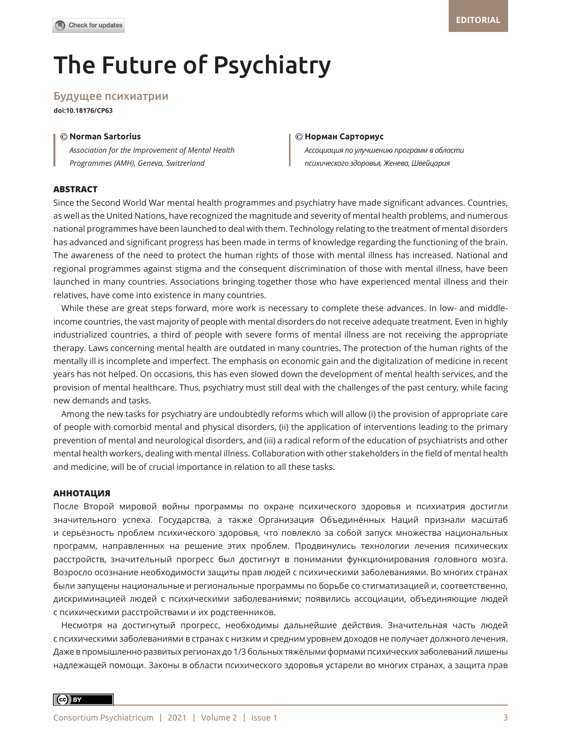# The Future of Psychiatry

# Будущее психиатрии

**doi:10.18176/CP63**

# © ©

*Association for the Improvement of Mental Health Programmes (AMH), Geneva, Switzerland* 

#### **Norman Sartorius Норман Сарториус**

*Ассоциация по улучшению программ в области психического здоровья, Женева, Швейцария*

### **ABSTRACT**

Since the Second World War mental health programmes and psychiatry have made significant advances. Countries, as well as the United Nations, have recognized the magnitude and severity of mental health problems, and numerous national programmes have been launched to deal with them. Technology relating to the treatment of mental disorders has advanced and significant progress has been made in terms of knowledge regarding the functioning of the brain. The awareness of the need to protect the human rights of those with mental illness has increased. National and regional programmes against stigma and the consequent discrimination of those with mental illness, have been launched in many countries. Associations bringing together those who have experienced mental illness and their relatives, have come into existence in many countries.

While these are great steps forward, more work is necessary to complete these advances. In low- and middleincome countries, the vast majority of people with mental disorders do not receive adequate treatment. Even in highly industrialized countries, a third of people with severe forms of mental illness are not receiving the appropriate therapy. Laws concerning mental health are outdated in many countries. The protection of the human rights of the mentally ill is incomplete and imperfect. The emphasis on economic gain and the digitalization of medicine in recent years has not helped. On occasions, this has even slowed down the development of mental health services, and the provision of mental healthcare. Thus, psychiatry must still deal with the challenges of the past century, while facing new demands and tasks.

Among the new tasks for psychiatry are undoubtedly reforms which will allow (i) the provision of appropriate care of people with comorbid mental and physical disorders, (ii) the application of interventions leading to the primary prevention of mental and neurological disorders, and (iii) a radical reform of the education of psychiatrists and other mental health workers, dealing with mental illness. Collaboration with other stakeholders in the field of mental health and medicine, will be of crucial importance in relation to all these tasks.

## **АННОТАЦИЯ**

После Второй мировой войны программы по охране психического здоровья и психиатрия достигли значительного успеха. Государства, а также Организация Объединённых Наций признали масштаб и серьёзность проблем психического здоровья, что повлекло за собой запуск множества национальных программ, направленных на решение этих проблем. Продвинулись технологии лечения психических расстройств, значительный прогресс был достигнут в понимании функционирования головного мозга. Возросло осознание необходимости защиты прав людей с психическими заболеваниями. Во многих странах были запущены национальные и региональные программы по борьбе со стигматизацией и, соответственно, дискриминацией людей с психическими заболеваниями; появились ассоциации, объединяющие людей с психическими расстройствами и их родственников.

Несмотря на достигнутый прогресс, необходимы дальнейшие действия. Значительная часть людей с психическими заболеваниями в странах с низким и средним уровнем доходов не получает должного лечения. Даже в промышленно развитых регионах до 1/3 больных тяжёлыми формами психических заболеваний лишены надлежащей помощи. Законы в области психического здоровья устарели во многих странах, а защита прав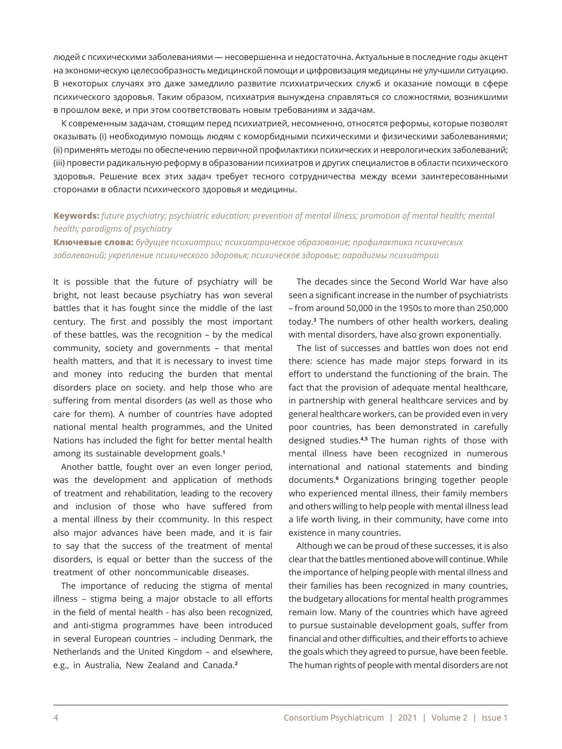людей с психическими заболеваниями ― несовершенна и недостаточна. Актуальные в последние годы акцент на экономическую целесообразность медицинской помощи и цифровизация медицины не улучшили ситуацию. В некоторых случаях это даже замедлило развитие психиатрических служб и оказание помощи в сфере психического здоровья. Таким образом, психиатрия вынуждена справляться со сложностями, возникшими в прошлом веке, и при этом соответствовать новым требованиям и задачам.

К современным задачам, стоящим перед психиатрией, несомненно, относятся реформы, которые позволят оказывать (i) необходимую помощь людям с коморбидными психическими и физическими заболеваниями; (ii) применять методы по обеспечению первичной профилактики психических и неврологических заболеваний; (iii) провести радикальную реформу в образовании психиатров и других специалистов в области психического здоровья. Решение всех этих задач требует тесного сотрудничества между всеми заинтересованными сторонами в области психического здоровья и медицины.

# **Keywords:** *future psychiatry; psychiatric education; prevention of mental illness; promotion of mental health; mental health; paradigms of psychiatry*

**Ключевые слова:** *будущее психиатрии; психиатрическое образование; профилактика психических заболеваний; укрепление психического здоровья; психическое здоровье; парадигмы психиатрии*

It is possible that the future of psychiatry will be bright, not least because psychiatry has won several battles that it has fought since the middle of the last century. The first and possibly the most important of these battles, was the recognition – by the medical community, society and governments – that mental health matters, and that it is necessary to invest time and money into reducing the burden that mental disorders place on society. and help those who are suffering from mental disorders (as well as those who care for them). A number of countries have adopted national mental health programmes, and the United Nations has included the fight for better mental health among its sustainable development goals.**<sup>1</sup>**

Another battle, fought over an even longer period, was the development and application of methods of treatment and rehabilitation, leading to the recovery and inclusion of those who have suffered from a mental illness by their ccommunity. In this respect also major advances have been made, and it is fair to say that the success of the treatment of mental disorders, is equal or better than the success of the treatment of other noncommunicable diseases.

The importance of reducing the stigma of mental illness – stigma being a major obstacle to all efforts in the field of mental health - has also been recognized, and anti-stigma programmes have been introduced in several European countries – including Denmark, the Netherlands and the United Kingdom – and elsewhere, e.g., in Australia, New Zealand and Canada.**<sup>2</sup>**

The decades since the Second World War have also seen a significant increase in the number of psychiatrists – from around 50,000 in the 1950s to more than 250,000 today.**<sup>3</sup>** The numbers of other health workers, dealing with mental disorders, have also grown exponentially.

The list of successes and battles won does not end there: science has made major steps forward in its effort to understand the functioning of the brain. The fact that the provision of adequate mental healthcare, in partnership with general healthcare services and by general healthcare workers, can be provided even in very poor countries, has been demonstrated in carefully designed studies.**4,5** The human rights of those with mental illness have been recognized in numerous international and national statements and binding documents.**<sup>6</sup>** Organizations bringing together people who experienced mental illness, their family members and others willing to help people with mental illness lead a life worth living, in their community, have come into existence in many countries.

Although we can be proud of these successes, it is also clear that the battles mentioned above will continue. While the importance of helping people with mental illness and their families has been recognized in many countries, the budgetary allocations for mental health programmes remain low. Many of the countries which have agreed to pursue sustainable development goals, suffer from financial and other difficulties, and their efforts to achieve the goals which they agreed to pursue, have been feeble. The human rights of people with mental disorders are not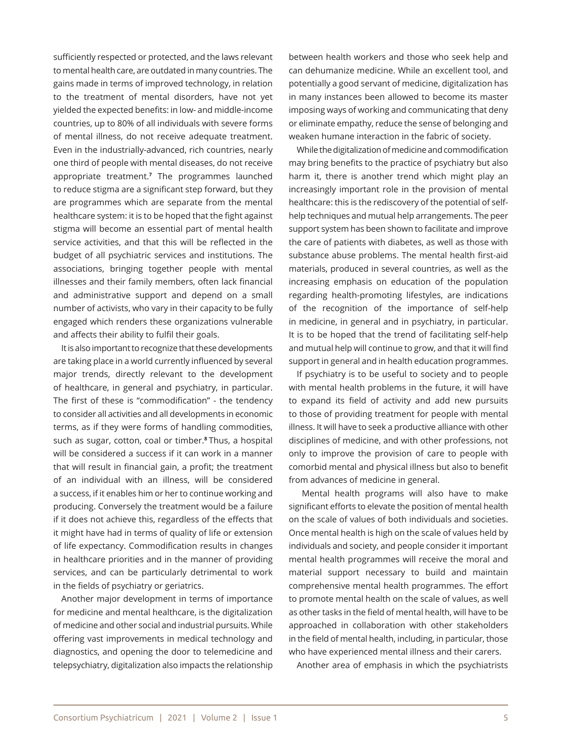sufficiently respected or protected, and the laws relevant to mental health care, are outdated in many countries. The gains made in terms of improved technology, in relation to the treatment of mental disorders, have not yet yielded the expected benefits: in low- and middle-income countries, up to 80% of all individuals with severe forms of mental illness, do not receive adequate treatment. Even in the industrially-advanced, rich countries, nearly one third of people with mental diseases, do not receive appropriate treatment.**<sup>7</sup>** The programmes launched to reduce stigma are a significant step forward, but they are programmes which are separate from the mental healthcare system: it is to be hoped that the fight against stigma will become an essential part of mental health service activities, and that this will be reflected in the budget of all psychiatric services and institutions. The associations, bringing together people with mental illnesses and their family members, often lack financial and administrative support and depend on a small number of activists, who vary in their capacity to be fully engaged which renders these organizations vulnerable and affects their ability to fulfil their goals.

It is also important to recognize that these developments are taking place in a world currently influenced by several major trends, directly relevant to the development of healthcare, in general and psychiatry, in particular. The first of these is "commodification" - the tendency to consider all activities and all developments in economic terms, as if they were forms of handling commodities, such as sugar, cotton, coal or timber.**8** Thus, a hospital will be considered a success if it can work in a manner that will result in financial gain, a profit; the treatment of an individual with an illness, will be considered a success, if it enables him or her to continue working and producing. Conversely the treatment would be a failure if it does not achieve this, regardless of the effects that it might have had in terms of quality of life or extension of life expectancy. Commodification results in changes in healthcare priorities and in the manner of providing services, and can be particularly detrimental to work in the fields of psychiatry or geriatrics.

Another major development in terms of importance for medicine and mental healthcare, is the digitalization of medicine and other social and industrial pursuits. While offering vast improvements in medical technology and diagnostics, and opening the door to telemedicine and telepsychiatry, digitalization also impacts the relationship between health workers and those who seek help and can dehumanize medicine. While an excellent tool, and potentially a good servant of medicine, digitalization has in many instances been allowed to become its master imposing ways of working and communicating that deny or eliminate empathy, reduce the sense of belonging and weaken humane interaction in the fabric of society.

While the digitalization of medicine and commodification may bring benefits to the practice of psychiatry but also harm it, there is another trend which might play an increasingly important role in the provision of mental healthcare: this is the rediscovery of the potential of selfhelp techniques and mutual help arrangements. The peer support system has been shown to facilitate and improve the care of patients with diabetes, as well as those with substance abuse problems. The mental health first-aid materials, produced in several countries, as well as the increasing emphasis on education of the population regarding health-promoting lifestyles, are indications of the recognition of the importance of self-help in medicine, in general and in psychiatry, in particular. It is to be hoped that the trend of facilitating self-help and mutual help will continue to grow, and that it will find support in general and in health education programmes.

If psychiatry is to be useful to society and to people with mental health problems in the future, it will have to expand its field of activity and add new pursuits to those of providing treatment for people with mental illness. It will have to seek a productive alliance with other disciplines of medicine, and with other professions, not only to improve the provision of care to people with comorbid mental and physical illness but also to benefit from advances of medicine in general.

 Mental health programs will also have to make significant efforts to elevate the position of mental health on the scale of values of both individuals and societies. Once mental health is high on the scale of values held by individuals and society, and people consider it important mental health programmes will receive the moral and material support necessary to build and maintain comprehensive mental health programmes. The effort to promote mental health on the scale of values, as well as other tasks in the field of mental health, will have to be approached in collaboration with other stakeholders in the field of mental health, including, in particular, those who have experienced mental illness and their carers.

Another area of emphasis in which the psychiatrists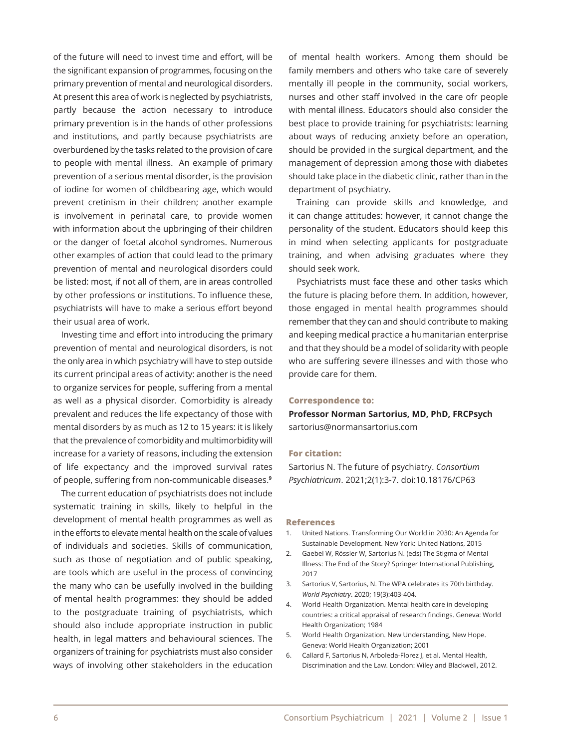of the future will need to invest time and effort, will be the significant expansion of programmes, focusing on the primary prevention of mental and neurological disorders. At present this area of work is neglected by psychiatrists, partly because the action necessary to introduce primary prevention is in the hands of other professions and institutions, and partly because psychiatrists are overburdened by the tasks related to the provision of care to people with mental illness. An example of primary prevention of a serious mental disorder, is the provision of iodine for women of childbearing age, which would prevent cretinism in their children; another example is involvement in perinatal care, to provide women with information about the upbringing of their children or the danger of foetal alcohol syndromes. Numerous other examples of action that could lead to the primary prevention of mental and neurological disorders could be listed: most, if not all of them, are in areas controlled by other professions or institutions. To influence these, psychiatrists will have to make a serious effort beyond their usual area of work.

Investing time and effort into introducing the primary prevention of mental and neurological disorders, is not the only area in which psychiatry will have to step outside its current principal areas of activity: another is the need to organize services for people, suffering from a mental as well as a physical disorder. Comorbidity is already prevalent and reduces the life expectancy of those with mental disorders by as much as 12 to 15 years: it is likely that the prevalence of comorbidity and multimorbidity will increase for a variety of reasons, including the extension of life expectancy and the improved survival rates of people, suffering from non-communicable diseases.**<sup>9</sup>**

The current education of psychiatrists does not include systematic training in skills, likely to helpful in the development of mental health programmes as well as in the efforts to elevate mental health on the scale of values of individuals and societies. Skills of communication, such as those of negotiation and of public speaking, are tools which are useful in the process of convincing the many who can be usefully involved in the building of mental health programmes: they should be added to the postgraduate training of psychiatrists, which should also include appropriate instruction in public health, in legal matters and behavioural sciences. The organizers of training for psychiatrists must also consider ways of involving other stakeholders in the education of mental health workers. Among them should be family members and others who take care of severely mentally ill people in the community, social workers, nurses and other staff involved in the care ofr people with mental illness. Educators should also consider the best place to provide training for psychiatrists: learning about ways of reducing anxiety before an operation, should be provided in the surgical department, and the management of depression among those with diabetes should take place in the diabetic clinic, rather than in the department of psychiatry.

Training can provide skills and knowledge, and it can change attitudes: however, it cannot change the personality of the student. Educators should keep this in mind when selecting applicants for postgraduate training, and when advising graduates where they should seek work.

Psychiatrists must face these and other tasks which the future is placing before them. In addition, however, those engaged in mental health programmes should remember that they can and should contribute to making and keeping medical practice a humanitarian enterprise and that they should be a model of solidarity with people who are suffering severe illnesses and with those who provide care for them.

#### **Correspondence to:**

**Professor Norman Sartorius, MD, PhD, FRCPsych** sartorius@normansartorius.com

#### **For citation:**

Sartorius N. The future of psychiatry. *Consortium Psychiatricum*. 2021;2(1):3-7. doi:10.18176/CP63

#### **References**

- 1. United Nations. Transforming Our World in 2030: An Agenda for Sustainable Development. New York: United Nations, 2015
- 2. Gaebel W, Rössler W, Sartorius N. (eds) The Stigma of Mental Illness: The End of the Story? Springer International Publishing, 2017
- 3. Sartorius V, Sartorius, N. The WPA celebrates its 70th birthday. *World Psychiatry*. 2020; 19(3):403-404.
- 4. World Health Organization. Mental health care in developing countries: a critical appraisal of research findings. Geneva: World Health Organization; 1984
- 5. World Health Organization. New Understanding, New Hope. Geneva: World Health Organization; 2001
- 6. Callard F, Sartorius N, Arboleda-Florez J, et al. Mental Health, Discrimination and the Law. London: Wiley and Blackwell, 2012.